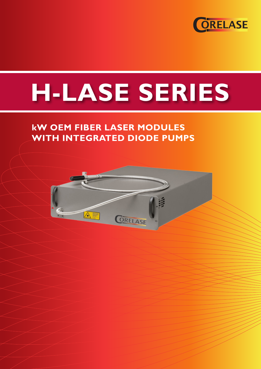

# **H-LASE SERIES**

# **kW OEM FIBER LASER MODULES WITH INTEGRATED DIODE PUMPS**

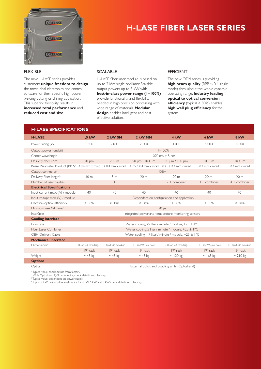

# **H-LASE FIBER LASER SERIES**

## FLEXIBLE

The new H-LASE series provides customers **unique freedom to design** the most ideal electronics and control software for their specific high power welding cutting or drilling application. This superior flexibility results in **increased total performance** and **reduced cost and size**.

## SCALABLE

H-LASE fiber laser module is based on up to 2 kW single oscillator. Scalable output powers up to 8 kW with **best-in-class power range (1–100%)** provide functionality and flexibility needed in high precision processing with wide range of materials. **Modular design** enables intelligent and cost effective solution.

## EFFICIENT

The new OEM series is providing **high beam quality** (BPP < 0.4 single mode) throughout the whole dynamic operating range. **Industry leading optical to optical conversion efficiency** (typical > 80%) enables **high wall plug efficiency** for the system.

| <b>H-LASE SPECIFICATIONS</b>                                           |                                                                  |                          |                                                 |                     |                        |                        |
|------------------------------------------------------------------------|------------------------------------------------------------------|--------------------------|-------------------------------------------------|---------------------|------------------------|------------------------|
| <b>H-LASE</b>                                                          | $1,5$ kW                                                         | 2 kW SM                  | 2 kW MM                                         | 4 kW                | 6 kW                   | 8 kW                   |
| Power rating (W)                                                       | 1500                                                             | 2 0 0 0                  | 2 0 0 0                                         | 4 000               | 6.000                  | 8 0 0 0                |
| Output power tunabilit                                                 | $I - 100%$                                                       |                          |                                                 |                     |                        |                        |
| Center wavelength                                                      | $1070$ nm + 5 nm                                                 |                          |                                                 |                     |                        |                        |
| Delivery fiber core                                                    | $20 \mu m$                                                       | $20 \mu m$               | 50 µm / 100 µm                                  | 50 µm / 100 µm      | $100 \mu m$            | $100 \mu m$            |
| Beam Parameter Product (BPP) <sup><math>+</math></sup> < 0.4 mm x mrad |                                                                  | $< 0.4$ mm $\times$ mrad | $< 2.5 / < 4$ mm x mrad $< 2.5 / < 4$ mm x mrad |                     | $<$ 4 mm $\times$ mrad | $<$ 4 mm $\times$ mrad |
| Output connector                                                       | OBH                                                              |                          |                                                 |                     |                        |                        |
| Delivery fiber length <sup>2</sup>                                     | 10 <sub>m</sub>                                                  | 5 <sub>m</sub>           | 20 <sub>m</sub>                                 | 20 <sub>m</sub>     | 20m                    | 20 <sub>m</sub>        |
| Number of laser cavities                                               |                                                                  |                          |                                                 | $2 +$ combiner      | $3 +$ combiner         | $4 +$ combiner         |
| <b>Electrical Specifications</b>                                       |                                                                  |                          |                                                 |                     |                        |                        |
| Input current max. (A) / module                                        | 40                                                               | 40                       | 40                                              | 40                  | 40                     | 40                     |
| Input voltage max. (V) / module                                        | Dependent on configuration and application                       |                          |                                                 |                     |                        |                        |
| Electrical-optical efficiency                                          | > 38%                                                            | > 38%                    | > 38%                                           | > 38%               | > 38%                  | > 38%                  |
| Minimum rise /fall time <sup>3</sup>                                   | $20 \mu s$                                                       |                          |                                                 |                     |                        |                        |
| Interfaces                                                             | Integrated power and temperature monitoring sensors              |                          |                                                 |                     |                        |                        |
| <b>Cooling interface</b>                                               |                                                                  |                          |                                                 |                     |                        |                        |
| Flow rate                                                              | Water cooling, 25 liter / minute / module, $+25 \pm 1^{\circ}$ C |                          |                                                 |                     |                        |                        |
| Fiber Laser Combiner                                                   | Water cooling, 5 liter / minute / module, $+25 \pm 1^{\circ}$ C  |                          |                                                 |                     |                        |                        |
| <b>QBH Delivery Cable</b>                                              | Water cooling, 1.7 liter / minute / module, +25 ± l°C            |                          |                                                 |                     |                        |                        |
| <b>Mechanical Interface</b>                                            |                                                                  |                          |                                                 |                     |                        |                        |
| Dimensions <sup>4</sup>                                                | 3 U and 596 mm deep                                              | 3 U and 596 mm deep      | 3 U and 596 mm deep                             | 7 U and 596 mm deep | 10 U and 596 mm deep   | 13 U and 596 mm deep   |
|                                                                        | 19" rack                                                         | 19" rack                 | 19" rack                                        | 19" rack            | 19" rack               | 19" rack               |
| Weight                                                                 | $\sim$ 45 kg                                                     | $\sim$ 45 kg             | $\sim$ 45 kg                                    | $\sim$ 120 kg       | $\sim$ 165 kg          | $\sim 210$ kg          |
| <b>Options</b>                                                         |                                                                  |                          |                                                 |                     |                        |                        |

Optics External optics and coupling units (Optoskand)

<sup>1</sup> Typical value, check details from factory

² With Optoskand QBH connector, check details from factory

3 Typical value, dependent on power supply 4 Up to 2 kW delivered as single units, for 4 kW, 6 kW and 8 kW check details from factory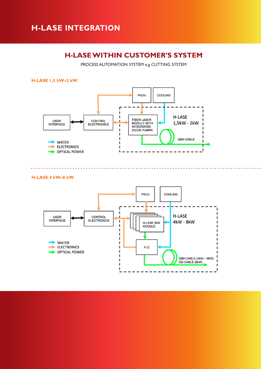## **H-LASE INTEGRATION**

## **H-LASE WITHIN CUSTOMER'S SYSTEM**

PROCESS AUTOMATION SYSTEM e.g CUTTING SYSTEM



## **H-LASE 4 kW–8 kW**

. . . . . . . . . . . . . . . .